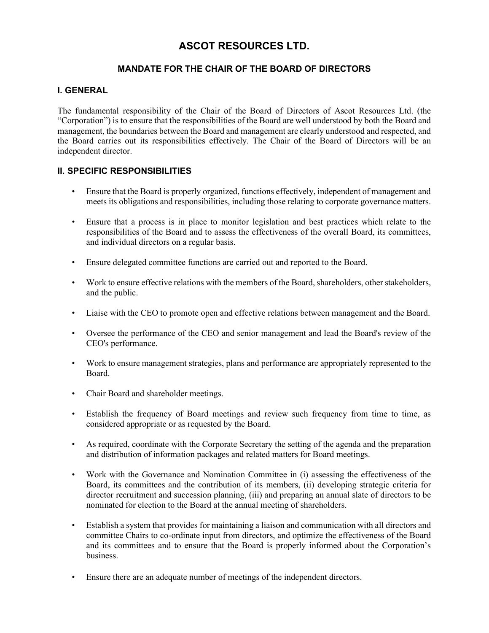## ASCOT RESOURCES LTD.

## MANDATE FOR THE CHAIR OF THE BOARD OF DIRECTORS

## I. GENERAL

The fundamental responsibility of the Chair of the Board of Directors of Ascot Resources Ltd. (the "Corporation") is to ensure that the responsibilities of the Board are well understood by both the Board and management, the boundaries between the Board and management are clearly understood and respected, and the Board carries out its responsibilities effectively. The Chair of the Board of Directors will be an independent director.

## II. SPECIFIC RESPONSIBILITIES

- Ensure that the Board is properly organized, functions effectively, independent of management and meets its obligations and responsibilities, including those relating to corporate governance matters.
- Ensure that a process is in place to monitor legislation and best practices which relate to the responsibilities of the Board and to assess the effectiveness of the overall Board, its committees, and individual directors on a regular basis.
- Ensure delegated committee functions are carried out and reported to the Board.
- Work to ensure effective relations with the members of the Board, shareholders, other stakeholders, and the public.
- Liaise with the CEO to promote open and effective relations between management and the Board.
- Oversee the performance of the CEO and senior management and lead the Board's review of the CEO's performance.
- Work to ensure management strategies, plans and performance are appropriately represented to the Board.
- Chair Board and shareholder meetings.
- Establish the frequency of Board meetings and review such frequency from time to time, as considered appropriate or as requested by the Board.
- As required, coordinate with the Corporate Secretary the setting of the agenda and the preparation and distribution of information packages and related matters for Board meetings.
- Work with the Governance and Nomination Committee in (i) assessing the effectiveness of the Board, its committees and the contribution of its members, (ii) developing strategic criteria for director recruitment and succession planning, (iii) and preparing an annual slate of directors to be nominated for election to the Board at the annual meeting of shareholders.
- Establish a system that provides for maintaining a liaison and communication with all directors and committee Chairs to co-ordinate input from directors, and optimize the effectiveness of the Board and its committees and to ensure that the Board is properly informed about the Corporation's business.
- Ensure there are an adequate number of meetings of the independent directors.